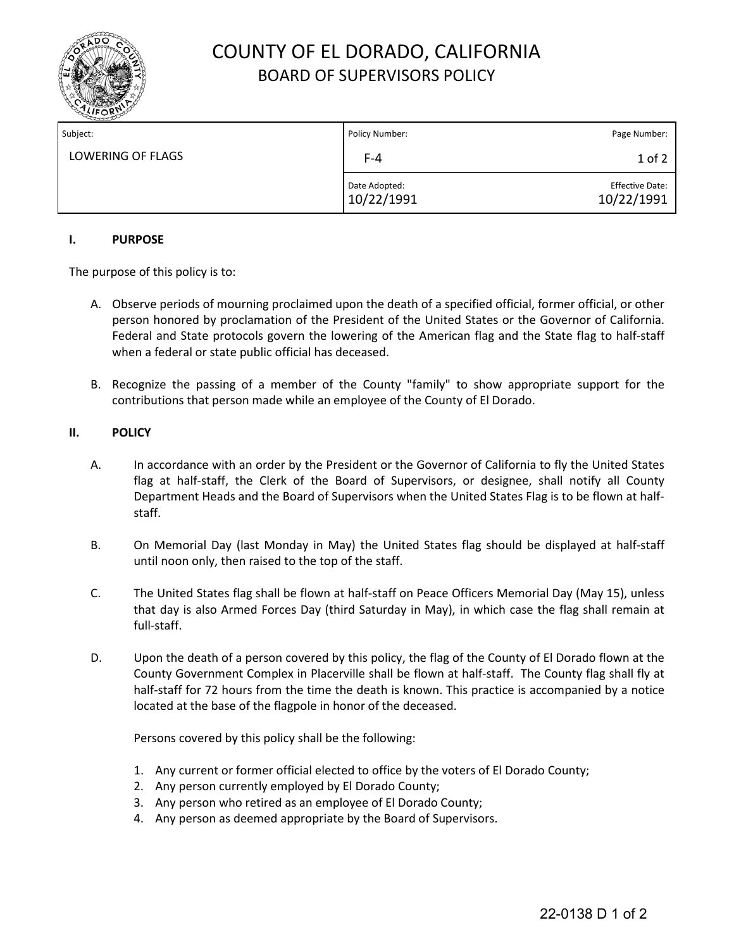

# COUNTY OF EL DORADO, CALIFORNIA BOARD OF SUPERVISORS POLICY

| Subject:          | Policy Number:              | Page Number:                         |
|-------------------|-----------------------------|--------------------------------------|
| LOWERING OF FLAGS | $F-4$                       | $1$ of $2$                           |
|                   | Date Adopted:<br>10/22/1991 | <b>Effective Date:</b><br>10/22/1991 |

## **I. PURPOSE**

The purpose of this policy is to:

- A. Observe periods of mourning proclaimed upon the death of a specified official, former official, or other person honored by proclamation of the President of the United States or the Governor of California. Federal and State protocols govern the lowering of the American flag and the State flag to half-staff when a federal or state public official has deceased.
- B. Recognize the passing of a member of the County "family" to show appropriate support for the contributions that person made while an employee of the County of El Dorado.

### **II. POLICY**

- A. In accordance with an order by the President or the Governor of California to fly the United States flag at half-staff, the Clerk of the Board of Supervisors, or designee, shall notify all County Department Heads and the Board of Supervisors when the United States Flag is to be flown at halfstaff.
- B. On Memorial Day (last Monday in May) the United States flag should be displayed at half-staff until noon only, then raised to the top of the staff.
- C. The United States flag shall be flown at half-staff on Peace Officers Memorial Day (May 15), unless that day is also Armed Forces Day (third Saturday in May), in which case the flag shall remain at full-staff.
- D. Upon the death of a person covered by this policy, the flag of the County of El Dorado flown at the County Government Complex in Placerville shall be flown at half-staff. The County flag shall fly at half-staff for 72 hours from the time the death is known. This practice is accompanied by a notice located at the base of the flagpole in honor of the deceased.

Persons covered by this policy shall be the following:

- 1. Any current or former official elected to office by the voters of El Dorado County;
- 2. Any person currently employed by El Dorado County;
- 3. Any person who retired as an employee of El Dorado County;
- 4. Any person as deemed appropriate by the Board of Supervisors.